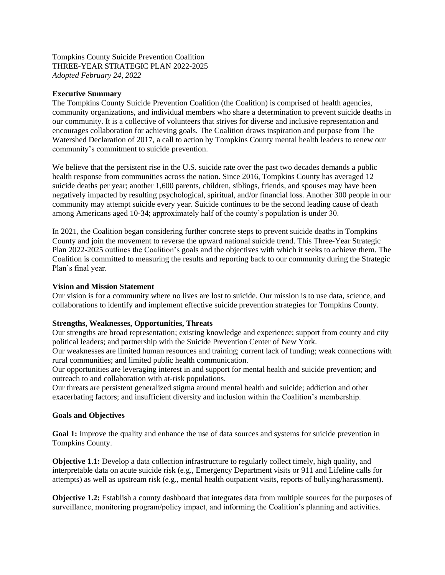Tompkins County Suicide Prevention Coalition THREE-YEAR STRATEGIC PLAN 2022-2025 *Adopted February 24, 2022*

## **Executive Summary**

The Tompkins County Suicide Prevention Coalition (the Coalition) is comprised of health agencies, community organizations, and individual members who share a determination to prevent suicide deaths in our community. It is a collective of volunteers that strives for diverse and inclusive representation and encourages collaboration for achieving goals. The Coalition draws inspiration and purpose from The Watershed Declaration of 2017, a call to action by Tompkins County mental health leaders to renew our community's commitment to suicide prevention.

We believe that the persistent rise in the U.S. suicide rate over the past two decades demands a public health response from communities across the nation. Since 2016, Tompkins County has averaged 12 suicide deaths per year; another 1,600 parents, children, siblings, friends, and spouses may have been negatively impacted by resulting psychological, spiritual, and/or financial loss. Another 300 people in our community may attempt suicide every year. Suicide continues to be the second leading cause of death among Americans aged 10-34; approximately half of the county's population is under 30.

In 2021, the Coalition began considering further concrete steps to prevent suicide deaths in Tompkins County and join the movement to reverse the upward national suicide trend. This Three-Year Strategic Plan 2022-2025 outlines the Coalition's goals and the objectives with which it seeks to achieve them. The Coalition is committed to measuring the results and reporting back to our community during the Strategic Plan's final year.

## **Vision and Mission Statement**

Our vision is for a community where no lives are lost to suicide. Our mission is to use data, science, and collaborations to identify and implement effective suicide prevention strategies for Tompkins County.

## **Strengths, Weaknesses, Opportunities, Threats**

Our strengths are broad representation; existing knowledge and experience; support from county and city political leaders; and partnership with the Suicide Prevention Center of New York.

Our weaknesses are limited human resources and training; current lack of funding; weak connections with rural communities; and limited public health communication.

Our opportunities are leveraging interest in and support for mental health and suicide prevention; and outreach to and collaboration with at-risk populations.

Our threats are persistent generalized stigma around mental health and suicide; addiction and other exacerbating factors; and insufficient diversity and inclusion within the Coalition's membership.

## **Goals and Objectives**

**Goal 1:** Improve the quality and enhance the use of data sources and systems for suicide prevention in Tompkins County.

**Objective 1.1:** Develop a data collection infrastructure to regularly collect timely, high quality, and interpretable data on acute suicide risk (e.g., Emergency Department visits or 911 and Lifeline calls for attempts) as well as upstream risk (e.g., mental health outpatient visits, reports of bullying/harassment).

**Objective 1.2:** Establish a county dashboard that integrates data from multiple sources for the purposes of surveillance, monitoring program/policy impact, and informing the Coalition's planning and activities.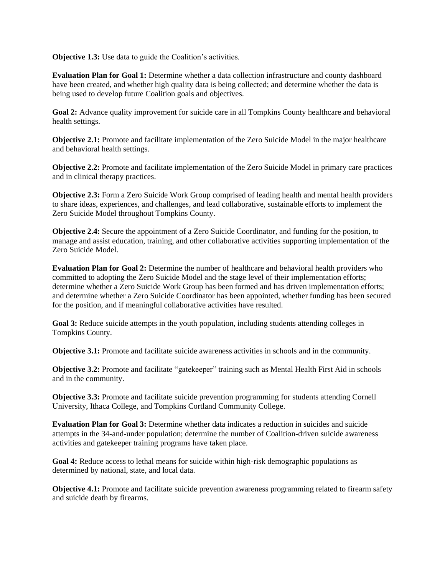**Objective 1.3:** Use data to guide the Coalition's activities.

**Evaluation Plan for Goal 1:** Determine whether a data collection infrastructure and county dashboard have been created, and whether high quality data is being collected; and determine whether the data is being used to develop future Coalition goals and objectives.

**Goal 2:** Advance quality improvement for suicide care in all Tompkins County healthcare and behavioral health settings.

**Objective 2.1:** Promote and facilitate implementation of the Zero Suicide Model in the major healthcare and behavioral health settings.

**Objective 2.2:** Promote and facilitate implementation of the Zero Suicide Model in primary care practices and in clinical therapy practices.

**Objective 2.3:** Form a Zero Suicide Work Group comprised of leading health and mental health providers to share ideas, experiences, and challenges, and lead collaborative, sustainable efforts to implement the Zero Suicide Model throughout Tompkins County.

**Objective 2.4:** Secure the appointment of a Zero Suicide Coordinator, and funding for the position, to manage and assist education, training, and other collaborative activities supporting implementation of the Zero Suicide Model.

**Evaluation Plan for Goal 2:** Determine the number of healthcare and behavioral health providers who committed to adopting the Zero Suicide Model and the stage level of their implementation efforts; determine whether a Zero Suicide Work Group has been formed and has driven implementation efforts; and determine whether a Zero Suicide Coordinator has been appointed, whether funding has been secured for the position, and if meaningful collaborative activities have resulted.

**Goal 3:** Reduce suicide attempts in the youth population, including students attending colleges in Tompkins County.

**Objective 3.1:** Promote and facilitate suicide awareness activities in schools and in the community.

**Objective 3.2:** Promote and facilitate "gatekeeper" training such as Mental Health First Aid in schools and in the community.

**Objective 3.3:** Promote and facilitate suicide prevention programming for students attending Cornell University, Ithaca College, and Tompkins Cortland Community College.

**Evaluation Plan for Goal 3:** Determine whether data indicates a reduction in suicides and suicide attempts in the 34-and-under population; determine the number of Coalition-driven suicide awareness activities and gatekeeper training programs have taken place.

**Goal 4:** Reduce access to lethal means for suicide within high-risk demographic populations as determined by national, state, and local data.

**Objective 4.1:** Promote and facilitate suicide prevention awareness programming related to firearm safety and suicide death by firearms.